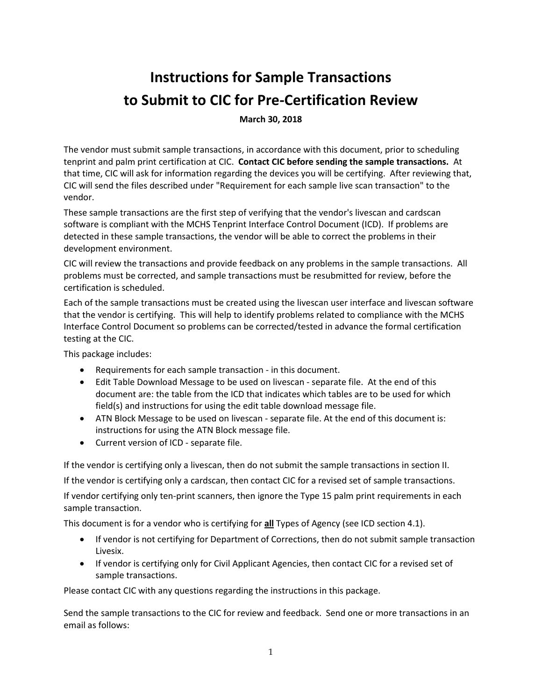# **Instructions for Sample Transactions to Submit to CIC for Pre-Certification Review**

**March 30, 2018**

The vendor must submit sample transactions, in accordance with this document, prior to scheduling tenprint and palm print certification at CIC. **Contact CIC before sending the sample transactions.** At that time, CIC will ask for information regarding the devices you will be certifying. After reviewing that, CIC will send the files described under "Requirement for each sample live scan transaction" to the vendor.

These sample transactions are the first step of verifying that the vendor's livescan and cardscan software is compliant with the MCHS Tenprint Interface Control Document (ICD). If problems are detected in these sample transactions, the vendor will be able to correct the problems in their development environment.

CIC will review the transactions and provide feedback on any problems in the sample transactions. All problems must be corrected, and sample transactions must be resubmitted for review, before the certification is scheduled.

Each of the sample transactions must be created using the livescan user interface and livescan software that the vendor is certifying. This will help to identify problems related to compliance with the MCHS Interface Control Document so problems can be corrected/tested in advance the formal certification testing at the CIC.

This package includes:

- Requirements for each sample transaction in this document.
- Edit Table Download Message to be used on livescan separate file. At the end of this document are: the table from the ICD that indicates which tables are to be used for which field(s) and instructions for using the edit table download message file.
- ATN Block Message to be used on livescan separate file. At the end of this document is: instructions for using the ATN Block message file.
- Current version of ICD separate file.

If the vendor is certifying only a livescan, then do not submit the sample transactions in section II.

If the vendor is certifying only a cardscan, then contact CIC for a revised set of sample transactions.

If vendor certifying only ten-print scanners, then ignore the Type 15 palm print requirements in each sample transaction.

This document is for a vendor who is certifying for **all** Types of Agency (see ICD section 4.1).

- If vendor is not certifying for Department of Corrections, then do not submit sample transaction Livesix.
- If vendor is certifying only for Civil Applicant Agencies, then contact CIC for a revised set of sample transactions.

Please contact CIC with any questions regarding the instructions in this package.

Send the sample transactions to the CIC for review and feedback. Send one or more transactions in an email as follows: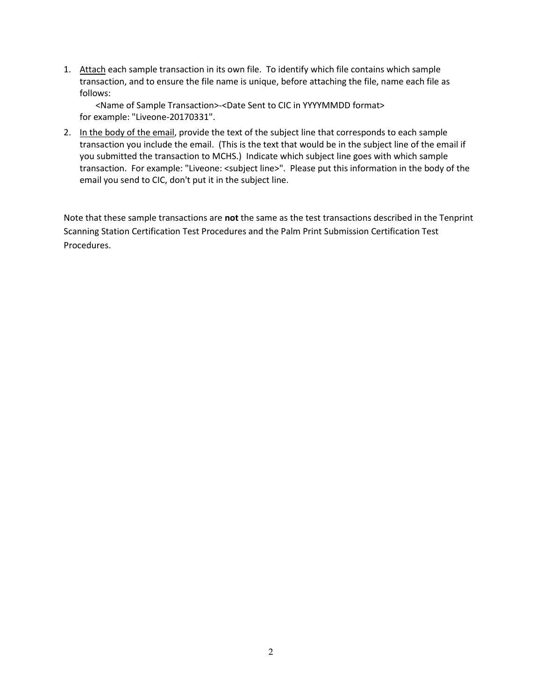1. Attach each sample transaction in its own file. To identify which file contains which sample transaction, and to ensure the file name is unique, before attaching the file, name each file as follows:

<Name of Sample Transaction>-<Date Sent to CIC in YYYYMMDD format> for example: "Liveone-20170331".

2. In the body of the email, provide the text of the subject line that corresponds to each sample transaction you include the email. (This is the text that would be in the subject line of the email if you submitted the transaction to MCHS.) Indicate which subject line goes with which sample transaction. For example: "Liveone: <subject line>". Please put this information in the body of the email you send to CIC, don't put it in the subject line.

Note that these sample transactions are **not** the same as the test transactions described in the Tenprint Scanning Station Certification Test Procedures and the Palm Print Submission Certification Test Procedures.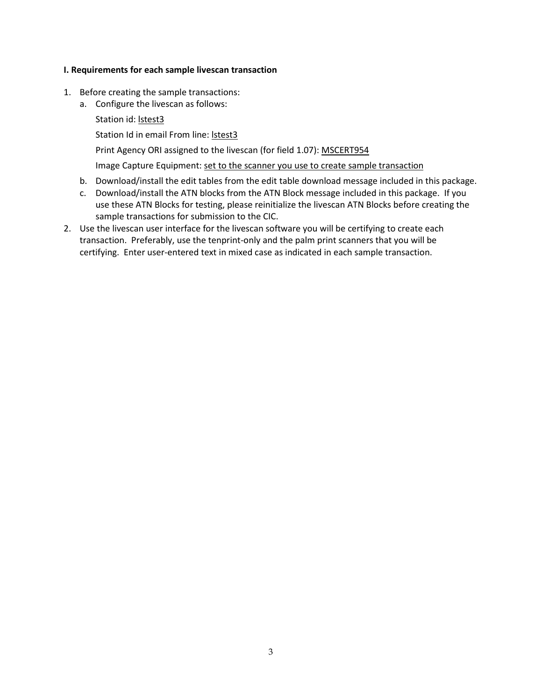## **I. Requirements for each sample livescan transaction**

- 1. Before creating the sample transactions:
	- a. Configure the livescan as follows:
		- Station id: **Istest3**

Station Id in email From line: lstest3

Print Agency ORI assigned to the livescan (for field 1.07): MSCERT954

Image Capture Equipment: set to the scanner you use to create sample transaction

- b. Download/install the edit tables from the edit table download message included in this package.
- c. Download/install the ATN blocks from the ATN Block message included in this package. If you use these ATN Blocks for testing, please reinitialize the livescan ATN Blocks before creating the sample transactions for submission to the CIC.
- 2. Use the livescan user interface for the livescan software you will be certifying to create each transaction. Preferably, use the tenprint-only and the palm print scanners that you will be certifying. Enter user-entered text in mixed case as indicated in each sample transaction.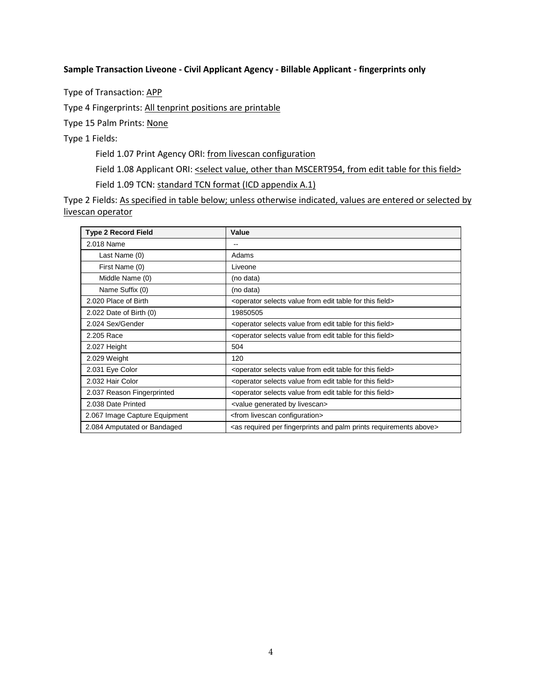#### **Sample Transaction Liveone - Civil Applicant Agency - Billable Applicant - fingerprints only**

Type of Transaction: APP

Type 4 Fingerprints: All tenprint positions are printable

Type 15 Palm Prints: None

Type 1 Fields:

Field 1.07 Print Agency ORI: from livescan configuration

Field 1.08 Applicant ORI: <select value, other than MSCERT954, from edit table for this field>

Field 1.09 TCN: standard TCN format (ICD appendix A.1)

| <b>Type 2 Record Field</b>    | Value                                                                                          |
|-------------------------------|------------------------------------------------------------------------------------------------|
| 2.018 Name                    | $\qquad \qquad -$                                                                              |
| Last Name (0)                 | Adams                                                                                          |
| First Name (0)                | Liveone                                                                                        |
| Middle Name (0)               | (no data)                                                                                      |
| Name Suffix (0)               | (no data)                                                                                      |
| 2.020 Place of Birth          | <operator edit="" field="" for="" from="" selects="" table="" this="" value=""></operator>     |
| 2.022 Date of Birth (0)       | 19850505                                                                                       |
| 2.024 Sex/Gender              | <operator edit="" field="" for="" from="" selects="" table="" this="" value=""></operator>     |
| 2.205 Race                    | <operator edit="" field="" for="" from="" selects="" table="" this="" value=""></operator>     |
| 2.027 Height                  | 504                                                                                            |
| 2.029 Weight                  | 120                                                                                            |
| 2.031 Eye Color               | <operator edit="" field="" for="" from="" selects="" table="" this="" value=""></operator>     |
| 2.032 Hair Color              | <operator edit="" field="" for="" from="" selects="" table="" this="" value=""></operator>     |
| 2.037 Reason Fingerprinted    | <operator edit="" field="" for="" from="" selects="" table="" this="" value=""></operator>     |
| 2.038 Date Printed            | <value by="" generated="" livescan=""></value>                                                 |
| 2.067 Image Capture Equipment | <from configuration="" livescan=""></from>                                                     |
| 2.084 Amputated or Bandaged   | <as above="" and="" fingerprints="" palm="" per="" prints="" required="" requirements=""></as> |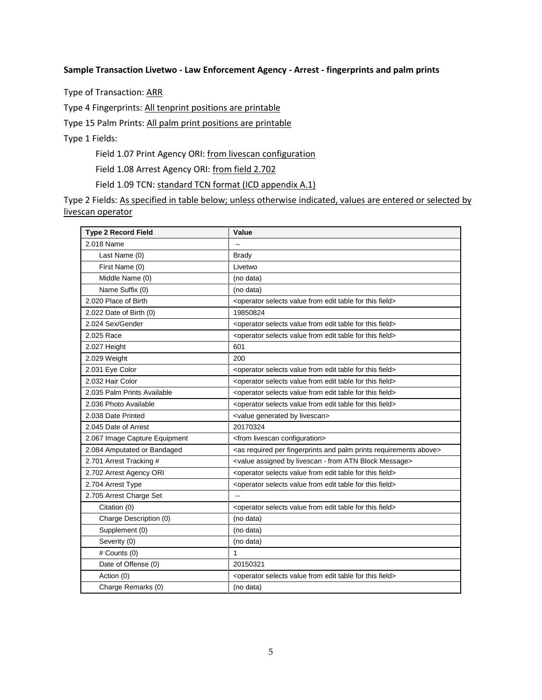#### **Sample Transaction Livetwo - Law Enforcement Agency - Arrest - fingerprints and palm prints**

Type of Transaction: ARR

Type 4 Fingerprints: All tenprint positions are printable

Type 15 Palm Prints: All palm print positions are printable

Type 1 Fields:

Field 1.07 Print Agency ORI: from livescan configuration

Field 1.08 Arrest Agency ORI: from field 2.702

Field 1.09 TCN: standard TCN format (ICD appendix A.1)

| <b>Type 2 Record Field</b>    | Value                                                                                          |
|-------------------------------|------------------------------------------------------------------------------------------------|
| 2.018 Name                    |                                                                                                |
| Last Name (0)                 | <b>Brady</b>                                                                                   |
| First Name (0)                | Livetwo                                                                                        |
| Middle Name (0)               | (no data)                                                                                      |
| Name Suffix (0)               | (no data)                                                                                      |
| 2.020 Place of Birth          | <operator edit="" field="" for="" from="" selects="" table="" this="" value=""></operator>     |
| 2.022 Date of Birth (0)       | 19850824                                                                                       |
| 2.024 Sex/Gender              | <operator edit="" field="" for="" from="" selects="" table="" this="" value=""></operator>     |
| 2.025 Race                    | <operator edit="" field="" for="" from="" selects="" table="" this="" value=""></operator>     |
| 2.027 Height                  | 601                                                                                            |
| 2.029 Weight                  | 200                                                                                            |
| 2.031 Eye Color               | <operator edit="" field="" for="" from="" selects="" table="" this="" value=""></operator>     |
| 2.032 Hair Color              | <operator edit="" field="" for="" from="" selects="" table="" this="" value=""></operator>     |
| 2.035 Palm Prints Available   | <operator edit="" field="" for="" from="" selects="" table="" this="" value=""></operator>     |
| 2.036 Photo Available         | <operator edit="" field="" for="" from="" selects="" table="" this="" value=""></operator>     |
| 2.038 Date Printed            | <value by="" generated="" livescan=""></value>                                                 |
| 2.045 Date of Arrest          | 20170324                                                                                       |
| 2.067 Image Capture Equipment | <from configuration="" livescan=""></from>                                                     |
| 2.084 Amputated or Bandaged   | <as above="" and="" fingerprints="" palm="" per="" prints="" required="" requirements=""></as> |
| 2.701 Arrest Tracking #       | <value -="" assigned="" atn="" block="" by="" from="" livescan="" message=""></value>          |
| 2.702 Arrest Agency ORI       | <operator edit="" field="" for="" from="" selects="" table="" this="" value=""></operator>     |
| 2.704 Arrest Type             | <operator edit="" field="" for="" from="" selects="" table="" this="" value=""></operator>     |
| 2.705 Arrest Charge Set       | цц.                                                                                            |
| Citation (0)                  | <operator edit="" field="" for="" from="" selects="" table="" this="" value=""></operator>     |
| Charge Description (0)        | (no data)                                                                                      |
| Supplement (0)                | (no data)                                                                                      |
| Severity (0)                  | (no data)                                                                                      |
| $#$ Counts $(0)$              | 1                                                                                              |
| Date of Offense (0)           | 20150321                                                                                       |
| Action (0)                    | <operator edit="" field="" for="" from="" selects="" table="" this="" value=""></operator>     |
| Charge Remarks (0)            | (no data)                                                                                      |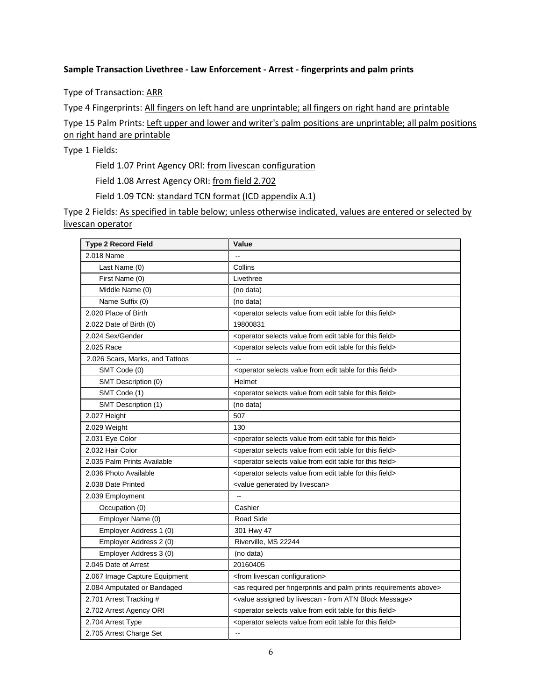#### **Sample Transaction Livethree - Law Enforcement - Arrest - fingerprints and palm prints**

Type of Transaction: ARR

Type 4 Fingerprints: All fingers on left hand are unprintable; all fingers on right hand are printable

Type 15 Palm Prints: Left upper and lower and writer's palm positions are unprintable; all palm positions on right hand are printable

Type 1 Fields:

Field 1.07 Print Agency ORI: from livescan configuration

Field 1.08 Arrest Agency ORI: from field 2.702

Field 1.09 TCN: standard TCN format (ICD appendix A.1)

| <b>Type 2 Record Field</b>      | Value                                                                                          |
|---------------------------------|------------------------------------------------------------------------------------------------|
| 2.018 Name                      |                                                                                                |
| Last Name (0)                   | Collins                                                                                        |
| First Name (0)                  | Livethree                                                                                      |
| Middle Name (0)                 | (no data)                                                                                      |
| Name Suffix (0)                 | (no data)                                                                                      |
| 2.020 Place of Birth            | <operator edit="" field="" for="" from="" selects="" table="" this="" value=""></operator>     |
| 2.022 Date of Birth (0)         | 19800831                                                                                       |
| 2.024 Sex/Gender                | <operator edit="" field="" for="" from="" selects="" table="" this="" value=""></operator>     |
| 2.025 Race                      | <operator edit="" field="" for="" from="" selects="" table="" this="" value=""></operator>     |
| 2.026 Scars, Marks, and Tattoos | $\overline{a}$                                                                                 |
| SMT Code (0)                    | <operator edit="" field="" for="" from="" selects="" table="" this="" value=""></operator>     |
| SMT Description (0)             | Helmet                                                                                         |
| SMT Code (1)                    | <operator edit="" field="" for="" from="" selects="" table="" this="" value=""></operator>     |
| SMT Description (1)             | (no data)                                                                                      |
| 2.027 Height                    | 507                                                                                            |
| 2.029 Weight                    | 130                                                                                            |
| 2.031 Eye Color                 | <operator edit="" field="" for="" from="" selects="" table="" this="" value=""></operator>     |
| 2.032 Hair Color                | <operator edit="" field="" for="" from="" selects="" table="" this="" value=""></operator>     |
| 2.035 Palm Prints Available     | <operator edit="" field="" for="" from="" selects="" table="" this="" value=""></operator>     |
| 2.036 Photo Available           | <operator edit="" field="" for="" from="" selects="" table="" this="" value=""></operator>     |
| 2.038 Date Printed              | <value by="" generated="" livescan=""></value>                                                 |
| 2.039 Employment                | L.                                                                                             |
| Occupation (0)                  | Cashier                                                                                        |
| Employer Name (0)               | Road Side                                                                                      |
| Employer Address 1 (0)          | 301 Hwy 47                                                                                     |
| Employer Address 2 (0)          | Riverville, MS 22244                                                                           |
| Employer Address 3 (0)          | (no data)                                                                                      |
| 2.045 Date of Arrest            | 20160405                                                                                       |
| 2.067 Image Capture Equipment   | <from configuration="" livescan=""></from>                                                     |
| 2.084 Amputated or Bandaged     | <as above="" and="" fingerprints="" palm="" per="" prints="" required="" requirements=""></as> |
| 2.701 Arrest Tracking #         | <value -="" assigned="" atn="" block="" by="" from="" livescan="" message=""></value>          |
| 2.702 Arrest Agency ORI         | <operator edit="" field="" for="" from="" selects="" table="" this="" value=""></operator>     |
| 2.704 Arrest Type               | <operator edit="" field="" for="" from="" selects="" table="" this="" value=""></operator>     |
| 2.705 Arrest Charge Set         | L.                                                                                             |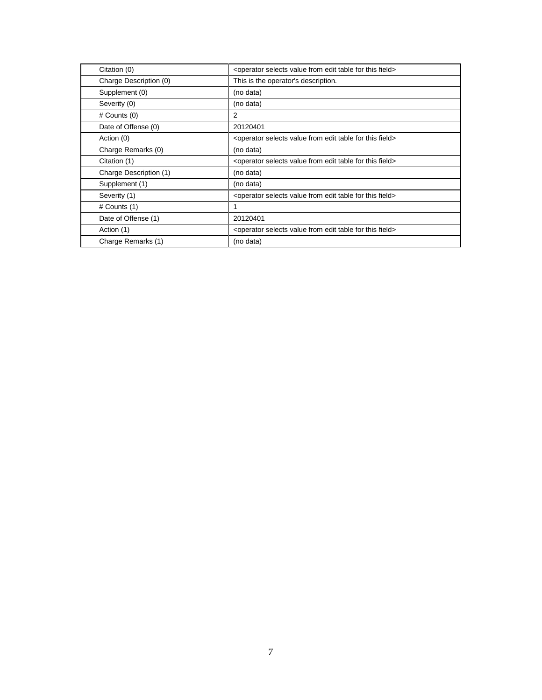| Citation (0)           | <operator edit="" field="" for="" from="" selects="" table="" this="" value=""></operator> |
|------------------------|--------------------------------------------------------------------------------------------|
| Charge Description (0) | This is the operator's description.                                                        |
| Supplement (0)         | (no data)                                                                                  |
| Severity (0)           | (no data)                                                                                  |
| $#$ Counts $(0)$       | 2                                                                                          |
| Date of Offense (0)    | 20120401                                                                                   |
| Action (0)             | <operator edit="" field="" for="" from="" selects="" table="" this="" value=""></operator> |
| Charge Remarks (0)     | (no data)                                                                                  |
|                        |                                                                                            |
| Citation (1)           | <operator edit="" field="" for="" from="" selects="" table="" this="" value=""></operator> |
| Charge Description (1) | (no data)                                                                                  |
| Supplement (1)         | (no data)                                                                                  |
| Severity (1)           | <operator edit="" field="" for="" from="" selects="" table="" this="" value=""></operator> |
| $#$ Counts $(1)$       | 1                                                                                          |
| Date of Offense (1)    | 20120401                                                                                   |
| Action (1)             | <operator edit="" field="" for="" from="" selects="" table="" this="" value=""></operator> |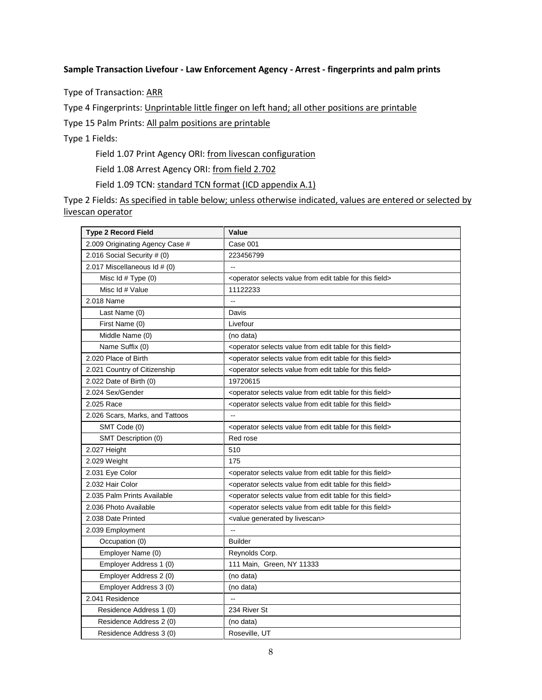#### **Sample Transaction Livefour - Law Enforcement Agency - Arrest - fingerprints and palm prints**

Type of Transaction: ARR

Type 4 Fingerprints: Unprintable little finger on left hand; all other positions are printable

Type 15 Palm Prints: All palm positions are printable

Type 1 Fields:

Field 1.07 Print Agency ORI: from livescan configuration

Field 1.08 Arrest Agency ORI: from field 2.702

Field 1.09 TCN: standard TCN format (ICD appendix A.1)

| <b>Type 2 Record Field</b>      | Value                                                                                      |
|---------------------------------|--------------------------------------------------------------------------------------------|
| 2.009 Originating Agency Case # | Case 001                                                                                   |
| 2.016 Social Security # (0)     | 223456799                                                                                  |
| 2.017 Miscellaneous Id # (0)    | цú.                                                                                        |
| Misc Id # Type (0)              | <operator edit="" field="" for="" from="" selects="" table="" this="" value=""></operator> |
| Misc Id # Value                 | 11122233                                                                                   |
| 2.018 Name                      | цц.                                                                                        |
| Last Name (0)                   | Davis                                                                                      |
| First Name (0)                  | Livefour                                                                                   |
| Middle Name (0)                 | (no data)                                                                                  |
| Name Suffix (0)                 | <operator edit="" field="" for="" from="" selects="" table="" this="" value=""></operator> |
| 2.020 Place of Birth            | <operator edit="" field="" for="" from="" selects="" table="" this="" value=""></operator> |
| 2.021 Country of Citizenship    | <operator edit="" field="" for="" from="" selects="" table="" this="" value=""></operator> |
| 2.022 Date of Birth (0)         | 19720615                                                                                   |
| 2.024 Sex/Gender                | <operator edit="" field="" for="" from="" selects="" table="" this="" value=""></operator> |
| 2.025 Race                      | <operator edit="" field="" for="" from="" selects="" table="" this="" value=""></operator> |
| 2.026 Scars, Marks, and Tattoos | $\overline{\phantom{a}}$                                                                   |
| SMT Code (0)                    | <operator edit="" field="" for="" from="" selects="" table="" this="" value=""></operator> |
| SMT Description (0)             | Red rose                                                                                   |
| 2.027 Height                    | 510                                                                                        |
| 2.029 Weight                    | 175                                                                                        |
| 2.031 Eye Color                 | <operator edit="" field="" for="" from="" selects="" table="" this="" value=""></operator> |
| 2.032 Hair Color                | <operator edit="" field="" for="" from="" selects="" table="" this="" value=""></operator> |
| 2.035 Palm Prints Available     | <operator edit="" field="" for="" from="" selects="" table="" this="" value=""></operator> |
| 2.036 Photo Available           | <operator edit="" field="" for="" from="" selects="" table="" this="" value=""></operator> |
| 2.038 Date Printed              | <value by="" generated="" livescan=""></value>                                             |
| 2.039 Employment                |                                                                                            |
| Occupation (0)                  | <b>Builder</b>                                                                             |
| Employer Name (0)               | Reynolds Corp.                                                                             |
| Employer Address 1 (0)          | 111 Main, Green, NY 11333                                                                  |
| Employer Address 2 (0)          | (no data)                                                                                  |
| Employer Address 3 (0)          | (no data)                                                                                  |
| 2.041 Residence                 | $\sim$                                                                                     |
| Residence Address 1 (0)         | 234 River St                                                                               |
| Residence Address 2 (0)         | (no data)                                                                                  |
| Residence Address 3 (0)         | Roseville, UT                                                                              |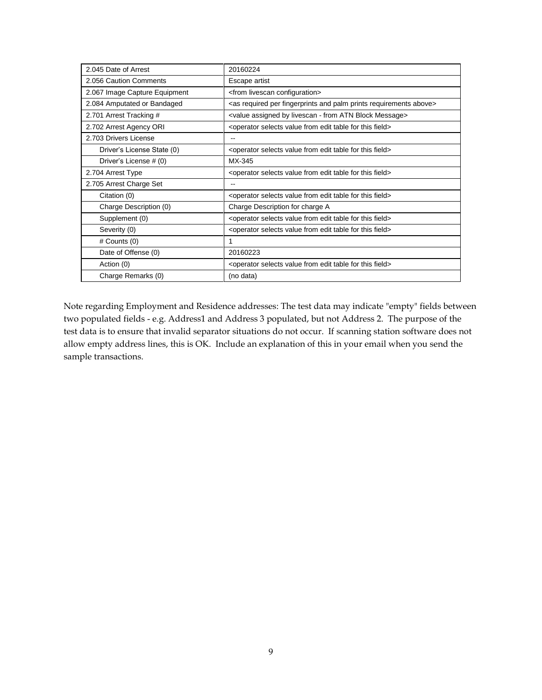| 2.045 Date of Arrest          | 20160224                                                                                       |
|-------------------------------|------------------------------------------------------------------------------------------------|
| 2.056 Caution Comments        | Escape artist                                                                                  |
| 2.067 Image Capture Equipment | <from configuration="" livescan=""></from>                                                     |
| 2.084 Amputated or Bandaged   | <as above="" and="" fingerprints="" palm="" per="" prints="" required="" requirements=""></as> |
| 2.701 Arrest Tracking #       | <value -="" assigned="" atn="" block="" by="" from="" livescan="" message=""></value>          |
| 2.702 Arrest Agency ORI       | <operator edit="" field="" for="" from="" selects="" table="" this="" value=""></operator>     |
| 2.703 Drivers License         |                                                                                                |
| Driver's License State (0)    | <operator edit="" field="" for="" from="" selects="" table="" this="" value=""></operator>     |
| Driver's License # (0)        | MX-345                                                                                         |
| 2.704 Arrest Type             | <operator edit="" field="" for="" from="" selects="" table="" this="" value=""></operator>     |
| 2.705 Arrest Charge Set       |                                                                                                |
| Citation (0)                  | <operator edit="" field="" for="" from="" selects="" table="" this="" value=""></operator>     |
| Charge Description (0)        | Charge Description for charge A                                                                |
| Supplement (0)                | <operator edit="" field="" for="" from="" selects="" table="" this="" value=""></operator>     |
| Severity (0)                  | <operator edit="" field="" for="" from="" selects="" table="" this="" value=""></operator>     |
| $#$ Counts $(0)$              | 1                                                                                              |
| Date of Offense (0)           | 20160223                                                                                       |
| Action (0)                    | <operator edit="" field="" for="" from="" selects="" table="" this="" value=""></operator>     |
| Charge Remarks (0)            | (no data)                                                                                      |

Note regarding Employment and Residence addresses: The test data may indicate "empty" fields between two populated fields - e.g. Address1 and Address 3 populated, but not Address 2. The purpose of the test data is to ensure that invalid separator situations do not occur. If scanning station software does not allow empty address lines, this is OK. Include an explanation of this in your email when you send the sample transactions.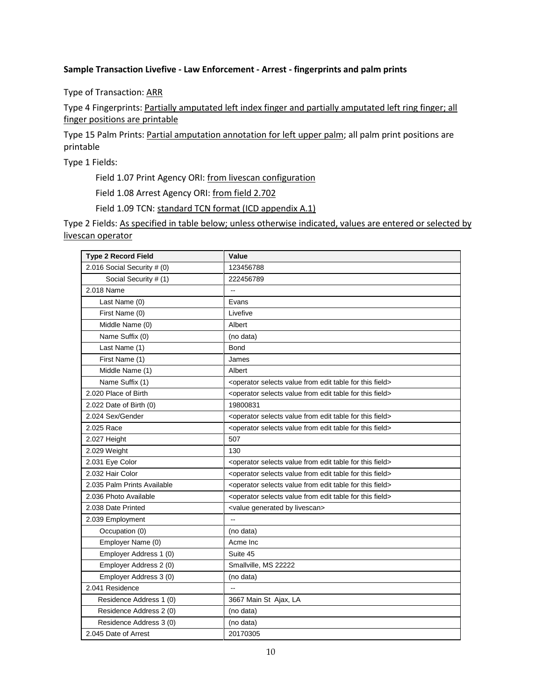## **Sample Transaction Livefive - Law Enforcement - Arrest - fingerprints and palm prints**

Type of Transaction: ARR

Type 4 Fingerprints: Partially amputated left index finger and partially amputated left ring finger; all finger positions are printable

Type 15 Palm Prints: Partial amputation annotation for left upper palm; all palm print positions are printable

Type 1 Fields:

Field 1.07 Print Agency ORI: from livescan configuration

Field 1.08 Arrest Agency ORI: from field 2.702

Field 1.09 TCN: standard TCN format (ICD appendix A.1)

| <b>Type 2 Record Field</b>  | Value                                                                                      |
|-----------------------------|--------------------------------------------------------------------------------------------|
| 2.016 Social Security # (0) | 123456788                                                                                  |
| Social Security # (1)       | 222456789                                                                                  |
| 2.018 Name                  | $\overline{a}$                                                                             |
| Last Name (0)               | Evans                                                                                      |
| First Name (0)              | Livefive                                                                                   |
| Middle Name (0)             | Albert                                                                                     |
| Name Suffix (0)             | (no data)                                                                                  |
| Last Name (1)               | <b>Bond</b>                                                                                |
| First Name (1)              | James                                                                                      |
| Middle Name (1)             | Albert                                                                                     |
| Name Suffix (1)             | <operator edit="" field="" for="" from="" selects="" table="" this="" value=""></operator> |
| 2.020 Place of Birth        | <operator edit="" field="" for="" from="" selects="" table="" this="" value=""></operator> |
| 2.022 Date of Birth (0)     | 19800831                                                                                   |
| 2.024 Sex/Gender            | <operator edit="" field="" for="" from="" selects="" table="" this="" value=""></operator> |
| 2.025 Race                  | <operator edit="" field="" for="" from="" selects="" table="" this="" value=""></operator> |
| 2.027 Height                | 507                                                                                        |
| 2.029 Weight                | 130                                                                                        |
| 2.031 Eye Color             | <operator edit="" field="" for="" from="" selects="" table="" this="" value=""></operator> |
| 2.032 Hair Color            | <operator edit="" field="" for="" from="" selects="" table="" this="" value=""></operator> |
| 2.035 Palm Prints Available | <operator edit="" field="" for="" from="" selects="" table="" this="" value=""></operator> |
| 2.036 Photo Available       | <operator edit="" field="" for="" from="" selects="" table="" this="" value=""></operator> |
| 2.038 Date Printed          | <value by="" generated="" livescan=""></value>                                             |
| 2.039 Employment            | $\sim$                                                                                     |
| Occupation (0)              | (no data)                                                                                  |
| Employer Name (0)           | Acme Inc                                                                                   |
| Employer Address 1 (0)      | Suite 45                                                                                   |
| Employer Address 2 (0)      | Smallville, MS 22222                                                                       |
| Employer Address 3 (0)      | (no data)                                                                                  |
| 2.041 Residence             |                                                                                            |
| Residence Address 1 (0)     | 3667 Main St Ajax, LA                                                                      |
| Residence Address 2 (0)     | (no data)                                                                                  |
| Residence Address 3 (0)     | (no data)                                                                                  |
| 2.045 Date of Arrest        | 20170305                                                                                   |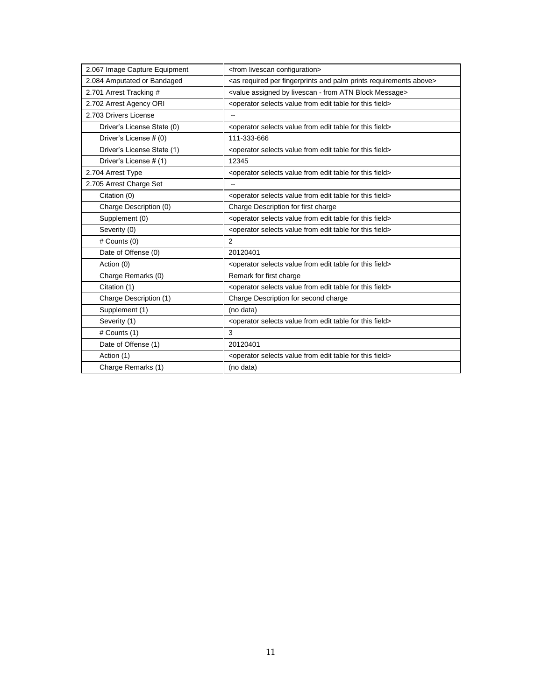| 2.067 Image Capture Equipment | <from configuration="" livescan=""></from>                                                     |
|-------------------------------|------------------------------------------------------------------------------------------------|
| 2.084 Amputated or Bandaged   | <as above="" and="" fingerprints="" palm="" per="" prints="" required="" requirements=""></as> |
| 2.701 Arrest Tracking #       | <value -="" assigned="" atn="" block="" by="" from="" livescan="" message=""></value>          |
| 2.702 Arrest Agency ORI       | <operator edit="" field="" for="" from="" selects="" table="" this="" value=""></operator>     |
| 2.703 Drivers License         | --                                                                                             |
| Driver's License State (0)    | <operator edit="" field="" for="" from="" selects="" table="" this="" value=""></operator>     |
| Driver's License # (0)        | 111-333-666                                                                                    |
| Driver's License State (1)    | <operator edit="" field="" for="" from="" selects="" table="" this="" value=""></operator>     |
| Driver's License # (1)        | 12345                                                                                          |
| 2.704 Arrest Type             | <operator edit="" field="" for="" from="" selects="" table="" this="" value=""></operator>     |
| 2.705 Arrest Charge Set       |                                                                                                |
| Citation (0)                  | <operator edit="" field="" for="" from="" selects="" table="" this="" value=""></operator>     |
| Charge Description (0)        | Charge Description for first charge                                                            |
| Supplement (0)                | <operator edit="" field="" for="" from="" selects="" table="" this="" value=""></operator>     |
| Severity (0)                  | <operator edit="" field="" for="" from="" selects="" table="" this="" value=""></operator>     |
| # Counts (0)                  | $\overline{2}$                                                                                 |
| Date of Offense (0)           | 20120401                                                                                       |
| Action (0)                    | <operator edit="" field="" for="" from="" selects="" table="" this="" value=""></operator>     |
| Charge Remarks (0)            | Remark for first charge                                                                        |
| Citation (1)                  | <operator edit="" field="" for="" from="" selects="" table="" this="" value=""></operator>     |
| Charge Description (1)        | Charge Description for second charge                                                           |
| Supplement (1)                | (no data)                                                                                      |
| Severity (1)                  | <operator edit="" field="" for="" from="" selects="" table="" this="" value=""></operator>     |
| # Counts (1)                  | 3                                                                                              |
| Date of Offense (1)           | 20120401                                                                                       |
| Action (1)                    | <operator edit="" field="" for="" from="" selects="" table="" this="" value=""></operator>     |
| Charge Remarks (1)            | (no data)                                                                                      |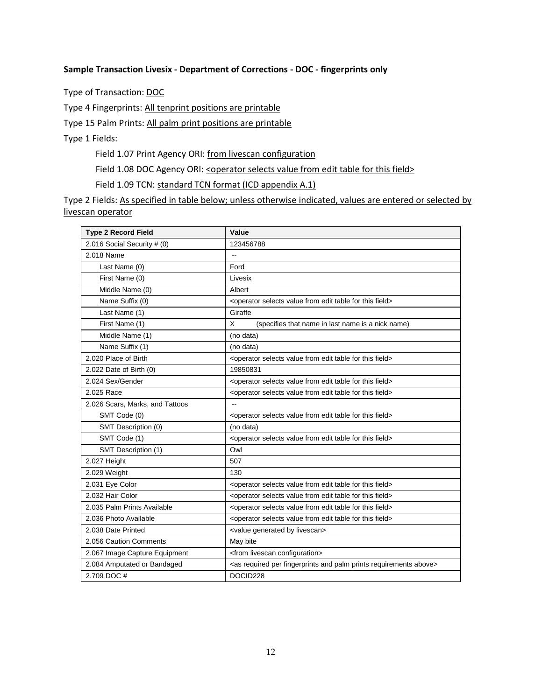#### **Sample Transaction Livesix - Department of Corrections - DOC - fingerprints only**

Type of Transaction: DOC

Type 4 Fingerprints: All tenprint positions are printable

Type 15 Palm Prints: All palm print positions are printable

Type 1 Fields:

Field 1.07 Print Agency ORI: from livescan configuration

Field 1.08 DOC Agency ORI: < operator selects value from edit table for this field>

Field 1.09 TCN: standard TCN format (ICD appendix A.1)

| <b>Type 2 Record Field</b>      | Value                                                                                          |
|---------------------------------|------------------------------------------------------------------------------------------------|
| 2.016 Social Security # (0)     | 123456788                                                                                      |
| 2.018 Name                      | $\overline{\phantom{a}}$                                                                       |
| Last Name (0)                   | Ford                                                                                           |
| First Name (0)                  | Livesix                                                                                        |
| Middle Name (0)                 | Albert                                                                                         |
| Name Suffix (0)                 | <operator edit="" field="" for="" from="" selects="" table="" this="" value=""></operator>     |
| Last Name (1)                   | Giraffe                                                                                        |
| First Name (1)                  | X<br>(specifies that name in last name is a nick name)                                         |
| Middle Name (1)                 | (no data)                                                                                      |
| Name Suffix (1)                 | (no data)                                                                                      |
| 2.020 Place of Birth            | <operator edit="" field="" for="" from="" selects="" table="" this="" value=""></operator>     |
| 2.022 Date of Birth (0)         | 19850831                                                                                       |
| 2.024 Sex/Gender                | <operator edit="" field="" for="" from="" selects="" table="" this="" value=""></operator>     |
| 2.025 Race                      | <operator edit="" field="" for="" from="" selects="" table="" this="" value=""></operator>     |
| 2.026 Scars, Marks, and Tattoos |                                                                                                |
| SMT Code (0)                    | <operator edit="" field="" for="" from="" selects="" table="" this="" value=""></operator>     |
| SMT Description (0)             | (no data)                                                                                      |
| SMT Code (1)                    | <operator edit="" field="" for="" from="" selects="" table="" this="" value=""></operator>     |
| SMT Description (1)             | Owl                                                                                            |
| 2.027 Height                    | 507                                                                                            |
| 2.029 Weight                    | 130                                                                                            |
| 2.031 Eye Color                 | <operator edit="" field="" for="" from="" selects="" table="" this="" value=""></operator>     |
| 2.032 Hair Color                | <operator edit="" field="" for="" from="" selects="" table="" this="" value=""></operator>     |
| 2.035 Palm Prints Available     | <operator edit="" field="" for="" from="" selects="" table="" this="" value=""></operator>     |
| 2.036 Photo Available           | <operator edit="" field="" for="" from="" selects="" table="" this="" value=""></operator>     |
| 2.038 Date Printed              | <value by="" generated="" livescan=""></value>                                                 |
| 2.056 Caution Comments          | May bite                                                                                       |
| 2.067 Image Capture Equipment   | <from configuration="" livescan=""></from>                                                     |
| 2.084 Amputated or Bandaged     | <as above="" and="" fingerprints="" palm="" per="" prints="" required="" requirements=""></as> |
| 2.709 DOC #                     | DOCID228                                                                                       |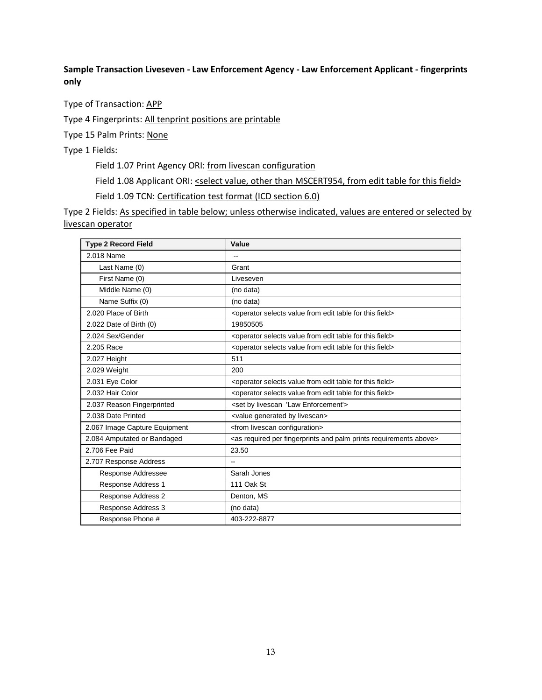# **Sample Transaction Liveseven - Law Enforcement Agency - Law Enforcement Applicant - fingerprints only**

Type of Transaction: APP

Type 4 Fingerprints: All tenprint positions are printable

Type 15 Palm Prints: None

Type 1 Fields:

Field 1.07 Print Agency ORI: from livescan configuration

Field 1.08 Applicant ORI: <select value, other than MSCERT954, from edit table for this field>

Field 1.09 TCN: Certification test format (ICD section 6.0)

| <b>Type 2 Record Field</b>    | Value                                                                                          |
|-------------------------------|------------------------------------------------------------------------------------------------|
| 2.018 Name                    | --                                                                                             |
| Last Name (0)                 | Grant                                                                                          |
| First Name (0)                | Liveseven                                                                                      |
| Middle Name (0)               | (no data)                                                                                      |
| Name Suffix (0)               | (no data)                                                                                      |
| 2.020 Place of Birth          | <operator edit="" field="" for="" from="" selects="" table="" this="" value=""></operator>     |
| 2.022 Date of Birth (0)       | 19850505                                                                                       |
| 2.024 Sex/Gender              | <operator edit="" field="" for="" from="" selects="" table="" this="" value=""></operator>     |
| 2.205 Race                    | <operator edit="" field="" for="" from="" selects="" table="" this="" value=""></operator>     |
| 2.027 Height                  | 511                                                                                            |
| 2.029 Weight                  | 200                                                                                            |
| 2.031 Eye Color               | <operator edit="" field="" for="" from="" selects="" table="" this="" value=""></operator>     |
| 2.032 Hair Color              | <operator edit="" field="" for="" from="" selects="" table="" this="" value=""></operator>     |
| 2.037 Reason Fingerprinted    | <set 'law="" by="" enforcement'="" livescan=""></set>                                          |
| 2.038 Date Printed            | <value by="" generated="" livescan=""></value>                                                 |
| 2.067 Image Capture Equipment | <from configuration="" livescan=""></from>                                                     |
| 2.084 Amputated or Bandaged   | <as above="" and="" fingerprints="" palm="" per="" prints="" required="" requirements=""></as> |
| 2.706 Fee Paid                | 23.50                                                                                          |
| 2.707 Response Address        |                                                                                                |
| Response Addressee            | Sarah Jones                                                                                    |
| Response Address 1            | 111 Oak St                                                                                     |
| Response Address 2            | Denton, MS                                                                                     |
| Response Address 3            | (no data)                                                                                      |
| Response Phone #              | 403-222-8877                                                                                   |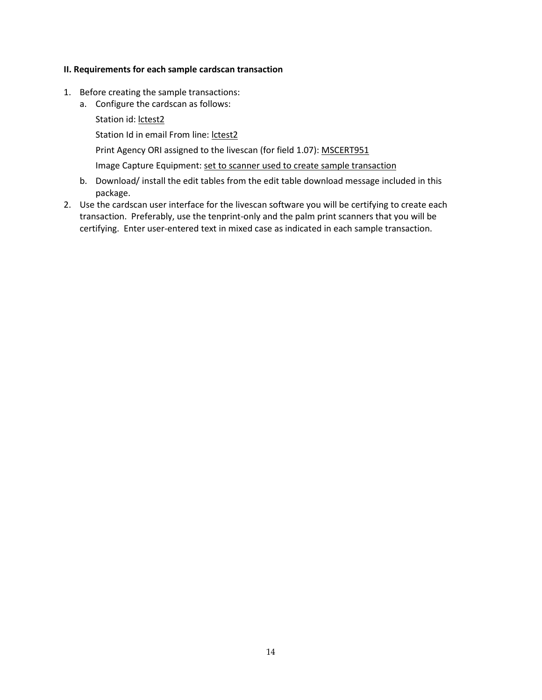#### **II. Requirements for each sample cardscan transaction**

- 1. Before creating the sample transactions:
	- a. Configure the cardscan as follows:
		- Station id: lctest2

Station Id in email From line: lctest2

Print Agency ORI assigned to the livescan (for field 1.07): MSCERT951

Image Capture Equipment: set to scanner used to create sample transaction

- b. Download/ install the edit tables from the edit table download message included in this package.
- 2. Use the cardscan user interface for the livescan software you will be certifying to create each transaction. Preferably, use the tenprint-only and the palm print scanners that you will be certifying. Enter user-entered text in mixed case as indicated in each sample transaction.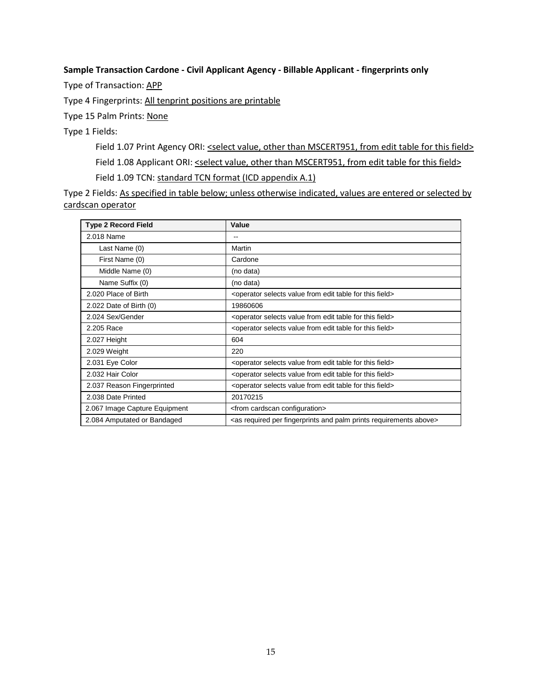### **Sample Transaction Cardone - Civil Applicant Agency - Billable Applicant - fingerprints only**

Type of Transaction: APP

Type 4 Fingerprints: All tenprint positions are printable

Type 15 Palm Prints: None

Type 1 Fields:

Field 1.07 Print Agency ORI: <select value, other than MSCERT951, from edit table for this field> Field 1.08 Applicant ORI: <select value, other than MSCERT951, from edit table for this field> Field 1.09 TCN: standard TCN format (ICD appendix A.1)

| <b>Type 2 Record Field</b>    | Value                                                                                          |
|-------------------------------|------------------------------------------------------------------------------------------------|
| 2.018 Name                    | $\qquad \qquad -$                                                                              |
| Last Name (0)                 | Martin                                                                                         |
| First Name (0)                | Cardone                                                                                        |
| Middle Name (0)               | (no data)                                                                                      |
| Name Suffix (0)               | (no data)                                                                                      |
| 2.020 Place of Birth          | <operator edit="" field="" for="" from="" selects="" table="" this="" value=""></operator>     |
| 2.022 Date of Birth $(0)$     | 19860606                                                                                       |
| 2.024 Sex/Gender              | <operator edit="" field="" for="" from="" selects="" table="" this="" value=""></operator>     |
| 2.205 Race                    | <operator edit="" field="" for="" from="" selects="" table="" this="" value=""></operator>     |
| 2.027 Height                  | 604                                                                                            |
| 2.029 Weight                  | 220                                                                                            |
| 2.031 Eye Color               | <operator edit="" field="" for="" from="" selects="" table="" this="" value=""></operator>     |
| 2.032 Hair Color              | <operator edit="" field="" for="" from="" selects="" table="" this="" value=""></operator>     |
| 2.037 Reason Fingerprinted    | <operator edit="" field="" for="" from="" selects="" table="" this="" value=""></operator>     |
| 2.038 Date Printed            | 20170215                                                                                       |
| 2.067 Image Capture Equipment | <from cardscan="" configuration=""></from>                                                     |
| 2.084 Amputated or Bandaged   | <as above="" and="" fingerprints="" palm="" per="" prints="" required="" requirements=""></as> |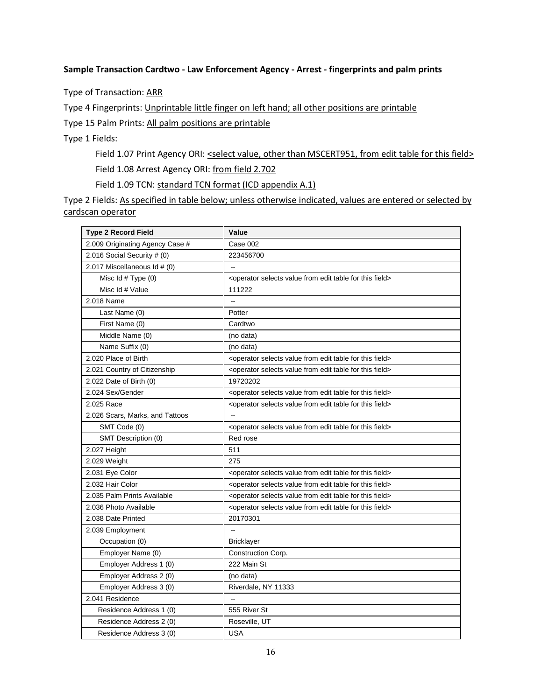#### **Sample Transaction Cardtwo - Law Enforcement Agency - Arrest - fingerprints and palm prints**

Type of Transaction: ARR

Type 4 Fingerprints: Unprintable little finger on left hand; all other positions are printable

Type 15 Palm Prints: All palm positions are printable

Type 1 Fields:

Field 1.07 Print Agency ORI: <select value, other than MSCERT951, from edit table for this field> Field 1.08 Arrest Agency ORI: from field 2.702

Field 1.09 TCN: standard TCN format (ICD appendix A.1)

| <b>Type 2 Record Field</b>      | Value                                                                                      |
|---------------------------------|--------------------------------------------------------------------------------------------|
| 2.009 Originating Agency Case # | Case 002                                                                                   |
| 2.016 Social Security # (0)     | 223456700                                                                                  |
| 2.017 Miscellaneous Id # (0)    | Ξ.                                                                                         |
| Misc Id # Type (0)              | <operator edit="" field="" for="" from="" selects="" table="" this="" value=""></operator> |
| Misc Id # Value                 | 111222                                                                                     |
| 2.018 Name                      | $\overline{\phantom{a}}$                                                                   |
| Last Name (0)                   | Potter                                                                                     |
| First Name (0)                  | Cardtwo                                                                                    |
| Middle Name (0)                 | (no data)                                                                                  |
| Name Suffix (0)                 | (no data)                                                                                  |
| 2.020 Place of Birth            | <operator edit="" field="" for="" from="" selects="" table="" this="" value=""></operator> |
| 2.021 Country of Citizenship    | <operator edit="" field="" for="" from="" selects="" table="" this="" value=""></operator> |
| 2.022 Date of Birth (0)         | 19720202                                                                                   |
| 2.024 Sex/Gender                | <operator edit="" field="" for="" from="" selects="" table="" this="" value=""></operator> |
| 2.025 Race                      | <operator edit="" field="" for="" from="" selects="" table="" this="" value=""></operator> |
| 2.026 Scars, Marks, and Tattoos | $\mathbf{L}$                                                                               |
| SMT Code (0)                    | <operator edit="" field="" for="" from="" selects="" table="" this="" value=""></operator> |
| SMT Description (0)             | Red rose                                                                                   |
| 2.027 Height                    | 511                                                                                        |
| 2.029 Weight                    | 275                                                                                        |
| 2.031 Eye Color                 | <operator edit="" field="" for="" from="" selects="" table="" this="" value=""></operator> |
| 2.032 Hair Color                | <operator edit="" field="" for="" from="" selects="" table="" this="" value=""></operator> |
| 2.035 Palm Prints Available     | <operator edit="" field="" for="" from="" selects="" table="" this="" value=""></operator> |
| 2.036 Photo Available           | <operator edit="" field="" for="" from="" selects="" table="" this="" value=""></operator> |
| 2.038 Date Printed              | 20170301                                                                                   |
| 2.039 Employment                |                                                                                            |
| Occupation (0)                  | <b>Bricklayer</b>                                                                          |
| Employer Name (0)               | Construction Corp.                                                                         |
| Employer Address 1 (0)          | 222 Main St                                                                                |
| Employer Address 2 (0)          | (no data)                                                                                  |
| Employer Address 3 (0)          | Riverdale, NY 11333                                                                        |
| 2.041 Residence                 | $\sim$                                                                                     |
| Residence Address 1 (0)         | 555 River St                                                                               |
| Residence Address 2 (0)         | Roseville, UT                                                                              |
| Residence Address 3 (0)         | <b>USA</b>                                                                                 |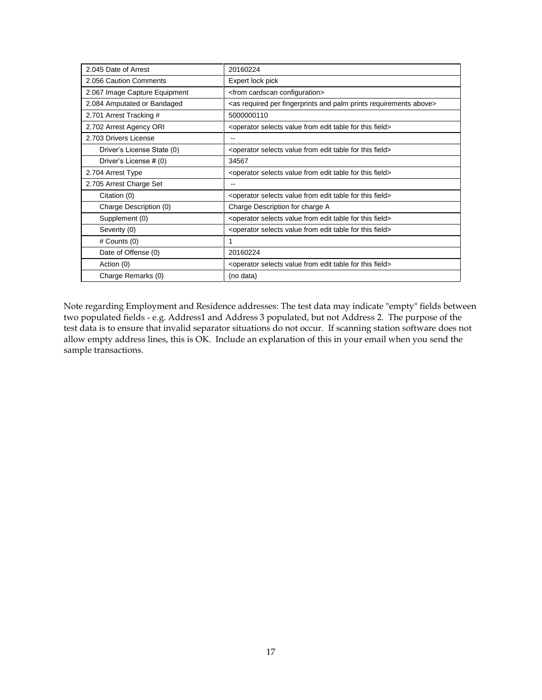| 2.045 Date of Arrest          | 20160224                                                                                       |
|-------------------------------|------------------------------------------------------------------------------------------------|
| 2.056 Caution Comments        | Expert lock pick                                                                               |
| 2.067 Image Capture Equipment | <from cardscan="" configuration=""></from>                                                     |
| 2.084 Amputated or Bandaged   | <as above="" and="" fingerprints="" palm="" per="" prints="" required="" requirements=""></as> |
| 2.701 Arrest Tracking #       | 5000000110                                                                                     |
| 2.702 Arrest Agency ORI       | <operator edit="" field="" for="" from="" selects="" table="" this="" value=""></operator>     |
| 2.703 Drivers License         |                                                                                                |
| Driver's License State (0)    | <operator edit="" field="" for="" from="" selects="" table="" this="" value=""></operator>     |
| Driver's License # (0)        | 34567                                                                                          |
| 2.704 Arrest Type             | <operator edit="" field="" for="" from="" selects="" table="" this="" value=""></operator>     |
| 2.705 Arrest Charge Set       |                                                                                                |
| Citation (0)                  | <operator edit="" field="" for="" from="" selects="" table="" this="" value=""></operator>     |
| Charge Description (0)        | Charge Description for charge A                                                                |
| Supplement (0)                | <operator edit="" field="" for="" from="" selects="" table="" this="" value=""></operator>     |
| Severity (0)                  | <operator edit="" field="" for="" from="" selects="" table="" this="" value=""></operator>     |
| # Counts (0)                  | 1                                                                                              |
| Date of Offense (0)           | 20160224                                                                                       |
| Action (0)                    | <operator edit="" field="" for="" from="" selects="" table="" this="" value=""></operator>     |
| Charge Remarks (0)            | (no data)                                                                                      |

Note regarding Employment and Residence addresses: The test data may indicate "empty" fields between two populated fields - e.g. Address1 and Address 3 populated, but not Address 2. The purpose of the test data is to ensure that invalid separator situations do not occur. If scanning station software does not allow empty address lines, this is OK. Include an explanation of this in your email when you send the sample transactions.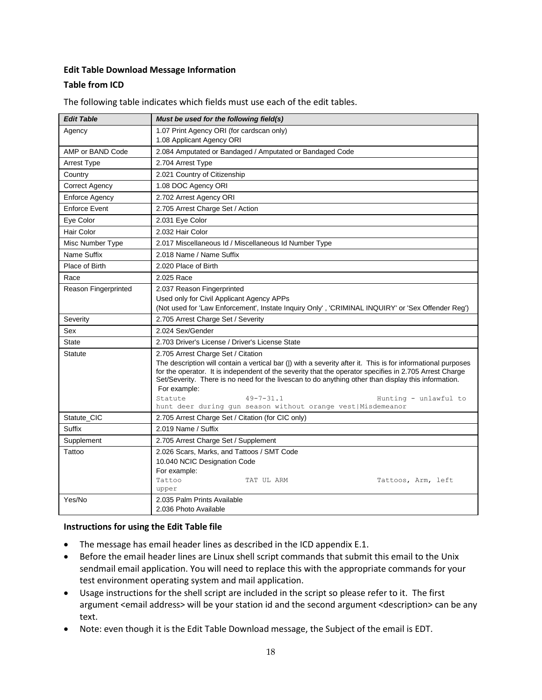# **Edit Table Download Message Information**

# **Table from ICD**

| <b>Edit Table</b>     | Must be used for the following field(s)                                                                                                                                                                                |
|-----------------------|------------------------------------------------------------------------------------------------------------------------------------------------------------------------------------------------------------------------|
| Agency                | 1.07 Print Agency ORI (for cardscan only)                                                                                                                                                                              |
|                       | 1.08 Applicant Agency ORI                                                                                                                                                                                              |
| AMP or BAND Code      | 2.084 Amputated or Bandaged / Amputated or Bandaged Code                                                                                                                                                               |
| Arrest Type           | 2.704 Arrest Type                                                                                                                                                                                                      |
| Country               | 2.021 Country of Citizenship                                                                                                                                                                                           |
| <b>Correct Agency</b> | 1.08 DOC Agency ORI                                                                                                                                                                                                    |
| <b>Enforce Agency</b> | 2.702 Arrest Agency ORI                                                                                                                                                                                                |
| <b>Enforce Event</b>  | 2.705 Arrest Charge Set / Action                                                                                                                                                                                       |
| Eye Color             | 2.031 Eye Color                                                                                                                                                                                                        |
| Hair Color            | 2.032 Hair Color                                                                                                                                                                                                       |
| Misc Number Type      | 2.017 Miscellaneous Id / Miscellaneous Id Number Type                                                                                                                                                                  |
| Name Suffix           | 2.018 Name / Name Suffix                                                                                                                                                                                               |
| Place of Birth        | 2.020 Place of Birth                                                                                                                                                                                                   |
| Race                  | 2.025 Race                                                                                                                                                                                                             |
| Reason Fingerprinted  | 2.037 Reason Fingerprinted                                                                                                                                                                                             |
|                       | Used only for Civil Applicant Agency APPs                                                                                                                                                                              |
|                       | (Not used for 'Law Enforcement', Instate Inquiry Only', 'CRIMINAL INQUIRY' or 'Sex Offender Reg')                                                                                                                      |
| Severity              | 2.705 Arrest Charge Set / Severity                                                                                                                                                                                     |
| Sex                   | 2.024 Sex/Gender                                                                                                                                                                                                       |
| <b>State</b>          | 2.703 Driver's License / Driver's License State                                                                                                                                                                        |
| <b>Statute</b>        | 2.705 Arrest Charge Set / Citation                                                                                                                                                                                     |
|                       | The description will contain a vertical bar ( ) with a severity after it. This is for informational purposes<br>for the operator. It is independent of the severity that the operator specifies in 2.705 Arrest Charge |
|                       | Set/Severity. There is no need for the livescan to do anything other than display this information.                                                                                                                    |
|                       | For example:                                                                                                                                                                                                           |
|                       | Statute<br>$49 - 7 - 31.1$<br>Hunting - unlawful to                                                                                                                                                                    |
|                       | hunt deer during qun season without orange vest   Misdemeanor                                                                                                                                                          |
| Statute_CIC<br>Suffix | 2.705 Arrest Charge Set / Citation (for CIC only)<br>2.019 Name / Suffix                                                                                                                                               |
|                       |                                                                                                                                                                                                                        |
| Supplement            | 2.705 Arrest Charge Set / Supplement                                                                                                                                                                                   |
| Tattoo                | 2.026 Scars, Marks, and Tattoos / SMT Code<br>10.040 NCIC Designation Code                                                                                                                                             |
|                       | For example:                                                                                                                                                                                                           |
|                       | Tattoo<br>TAT UL ARM<br>Tattoos, Arm, left                                                                                                                                                                             |
|                       | upper                                                                                                                                                                                                                  |
| Yes/No                | 2.035 Palm Prints Available                                                                                                                                                                                            |
|                       | 2.036 Photo Available                                                                                                                                                                                                  |

The following table indicates which fields must use each of the edit tables.

### **Instructions for using the Edit Table file**

- The message has email header lines as described in the ICD appendix E.1.
- Before the email header lines are Linux shell script commands that submit this email to the Unix sendmail email application. You will need to replace this with the appropriate commands for your test environment operating system and mail application.
- Usage instructions for the shell script are included in the script so please refer to it. The first argument <email address> will be your station id and the second argument <description> can be any text.
- Note: even though it is the Edit Table Download message, the Subject of the email is EDT.